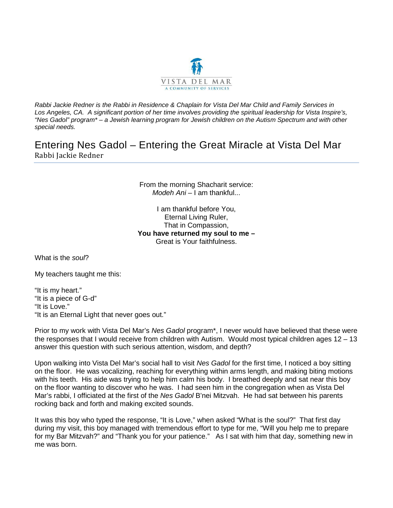

*Rabbi Jackie Redner is the Rabbi in Residence & Chaplain for Vista Del Mar Child and Family Services in*  Los Angeles, CA. A significant portion of her time involves providing the spiritual leadership for Vista Inspire's, *"Nes Gadol" program\* – a Jewish learning program for Jewish children on the Autism Spectrum and with other special needs.* 

Entering Nes Gadol – Entering the Great Miracle at Vista Del Mar Rabbi Jackie Redner

> From the morning Shacharit service: *Modeh Ani* – I am thankful...

I am thankful before You, Eternal Living Ruler, That in Compassion, **You have returned my soul to me –** Great is Your faithfulness.

What is the *soul*?

My teachers taught me this:

"It is my heart." "It is a piece of G-d" "It is Love." "It is an Eternal Light that never goes out."

Prior to my work with Vista Del Mar's *Nes Gadol* program\*, I never would have believed that these were the responses that I would receive from children with Autism. Would most typical children ages 12 – 13 answer this question with such serious attention, wisdom, and depth?

Upon walking into Vista Del Mar's social hall to visit *Nes Gadol* for the first time, I noticed a boy sitting on the floor. He was vocalizing, reaching for everything within arms length, and making biting motions with his teeth. His aide was trying to help him calm his body. I breathed deeply and sat near this boy on the floor wanting to discover who he was. I had seen him in the congregation when as Vista Del Mar's rabbi, I officiated at the first of the *Nes Gadol* B'nei Mitzvah. He had sat between his parents rocking back and forth and making excited sounds.

It was this boy who typed the response, "It is Love," when asked "What is the soul?" That first day during my visit, this boy managed with tremendous effort to type for me, "Will you help me to prepare for my Bar Mitzvah?" and "Thank you for your patience." As I sat with him that day, something new in me was born.